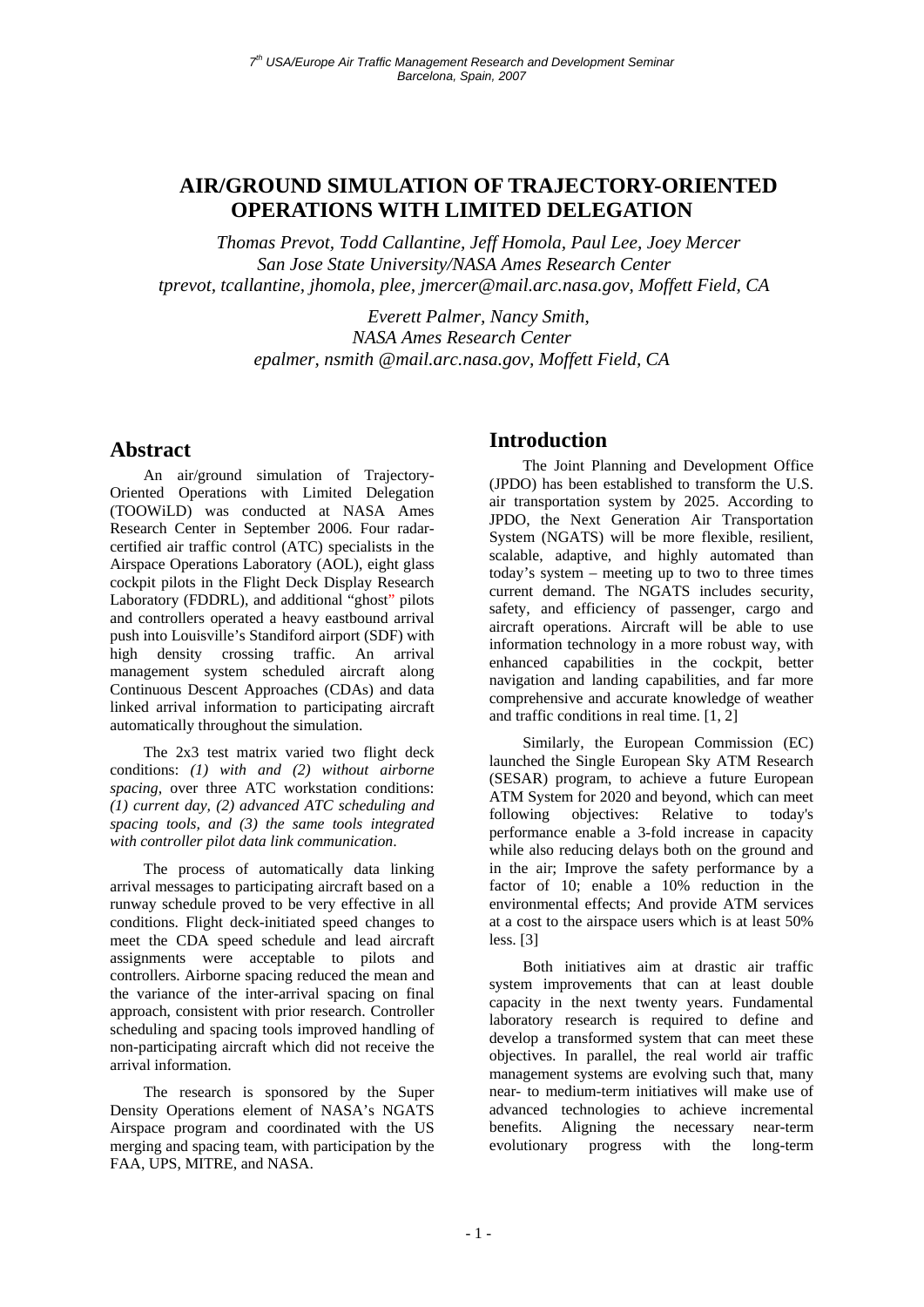# **AIR/GROUND SIMULATION OF TRAJECTORY-ORIENTED OPERATIONS WITH LIMITED DELEGATION**

*Thomas Prevot, Todd Callantine, Jeff Homola, Paul Lee, Joey Mercer San Jose State University/NASA Ames Research Center tprevot, tcallantine, jhomola, plee, jmercer@mail.arc.nasa.gov, Moffett Field, CA* 

> *Everett Palmer, Nancy Smith, NASA Ames Research Center epalmer, nsmith @mail.arc.nasa.gov, Moffett Field, CA*

# **Abstract**

An air/ground simulation of Trajectory-Oriented Operations with Limited Delegation (TOOWiLD) was conducted at NASA Ames Research Center in September 2006. Four radarcertified air traffic control (ATC) specialists in the Airspace Operations Laboratory (AOL), eight glass cockpit pilots in the Flight Deck Display Research Laboratory (FDDRL), and additional "ghost" pilots and controllers operated a heavy eastbound arrival push into Louisville's Standiford airport (SDF) with high density crossing traffic. An arrival management system scheduled aircraft along Continuous Descent Approaches (CDAs) and data linked arrival information to participating aircraft automatically throughout the simulation.

The 2x3 test matrix varied two flight deck conditions: *(1) with and (2) without airborne spacing*, over three ATC workstation conditions: *(1) current day, (2) advanced ATC scheduling and spacing tools, and (3) the same tools integrated with controller pilot data link communication*.

The process of automatically data linking arrival messages to participating aircraft based on a runway schedule proved to be very effective in all conditions. Flight deck-initiated speed changes to meet the CDA speed schedule and lead aircraft assignments were acceptable to pilots and controllers. Airborne spacing reduced the mean and the variance of the inter-arrival spacing on final approach, consistent with prior research. Controller scheduling and spacing tools improved handling of non-participating aircraft which did not receive the arrival information.

The research is sponsored by the Super Density Operations element of NASA's NGATS Airspace program and coordinated with the US merging and spacing team, with participation by the FAA, UPS, MITRE, and NASA.

# **Introduction**

The Joint Planning and Development Office (JPDO) has been established to transform the U.S. air transportation system by 2025. According to JPDO, the Next Generation Air Transportation System (NGATS) will be more flexible, resilient, scalable, adaptive, and highly automated than today's system – meeting up to two to three times current demand. The NGATS includes security, safety, and efficiency of passenger, cargo and aircraft operations. Aircraft will be able to use information technology in a more robust way, with enhanced capabilities in the cockpit, better navigation and landing capabilities, and far more comprehensive and accurate knowledge of weather and traffic conditions in real time. [1, 2]

Similarly, the European Commission (EC) launched the Single European Sky ATM Research (SESAR) program, to achieve a future European ATM System for 2020 and beyond, which can meet following objectives: Relative to today's performance enable a 3-fold increase in capacity while also reducing delays both on the ground and in the air; Improve the safety performance by a factor of 10; enable a 10% reduction in the environmental effects; And provide ATM services at a cost to the airspace users which is at least 50% less. [3]

Both initiatives aim at drastic air traffic system improvements that can at least double capacity in the next twenty years. Fundamental laboratory research is required to define and develop a transformed system that can meet these objectives. In parallel, the real world air traffic management systems are evolving such that, many near- to medium-term initiatives will make use of advanced technologies to achieve incremental benefits. Aligning the necessary near-term evolutionary progress with the long-term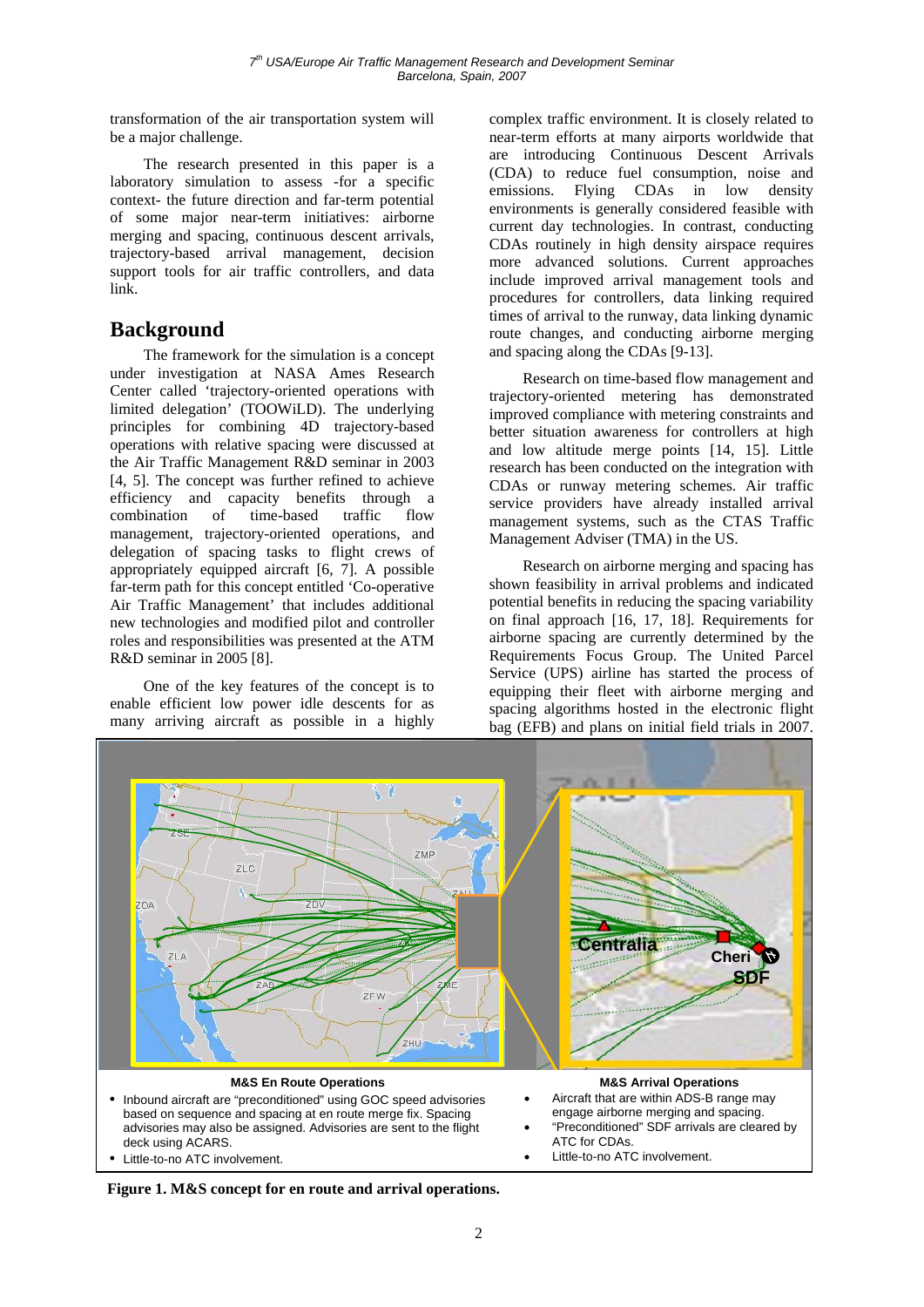transformation of the air transportation system will be a major challenge.

The research presented in this paper is a laboratory simulation to assess -for a specific context- the future direction and far-term potential of some major near-term initiatives: airborne merging and spacing, continuous descent arrivals, trajectory-based arrival management, decision support tools for air traffic controllers, and data link.

# **Background**

The framework for the simulation is a concept under investigation at NASA Ames Research Center called 'trajectory-oriented operations with limited delegation' (TOOWiLD). The underlying principles for combining 4D trajectory-based operations with relative spacing were discussed at the Air Traffic Management R&D seminar in 2003 [4, 5]. The concept was further refined to achieve efficiency and capacity benefits through a combination of time-based traffic flow combination of time-based traffic flow management, trajectory-oriented operations, and delegation of spacing tasks to flight crews of appropriately equipped aircraft [6, 7]. A possible far-term path for this concept entitled 'Co-operative Air Traffic Management' that includes additional new technologies and modified pilot and controller roles and responsibilities was presented at the ATM R&D seminar in 2005 [8].

One of the key features of the concept is to enable efficient low power idle descents for as many arriving aircraft as possible in a highly

complex traffic environment. It is closely related to near-term efforts at many airports worldwide that are introducing Continuous Descent Arrivals (CDA) to reduce fuel consumption, noise and emissions. Flying CDAs in low density environments is generally considered feasible with current day technologies. In contrast, conducting CDAs routinely in high density airspace requires more advanced solutions. Current approaches include improved arrival management tools and procedures for controllers, data linking required times of arrival to the runway, data linking dynamic route changes, and conducting airborne merging and spacing along the CDAs [9-13].

Research on time-based flow management and trajectory-oriented metering has demonstrated improved compliance with metering constraints and better situation awareness for controllers at high and low altitude merge points [14, 15]. Little research has been conducted on the integration with CDAs or runway metering schemes. Air traffic service providers have already installed arrival management systems, such as the CTAS Traffic Management Adviser (TMA) in the US.

Research on airborne merging and spacing has shown feasibility in arrival problems and indicated potential benefits in reducing the spacing variability on final approach [16, 17, 18]. Requirements for airborne spacing are currently determined by the Requirements Focus Group. The United Parcel Service (UPS) airline has started the process of equipping their fleet with airborne merging and spacing algorithms hosted in the electronic flight bag (EFB) and plans on initial field trials in 2007.



- based on sequence and spacing at en route merge fix. Spacing advisories may also be assigned. Advisories are sent to the flight deck using ACARS.
- 
- engage airborne merging and spacing.
- "Preconditioned" SDF arrivals are cleared by ATC for CDAs.<br>Little-to-no ATC involvement.
- Little-to-no ATC involvement.  $\bullet$  Little-to-no ATC involvement.

**Figure 1. M&S concept for en route and arrival operations.**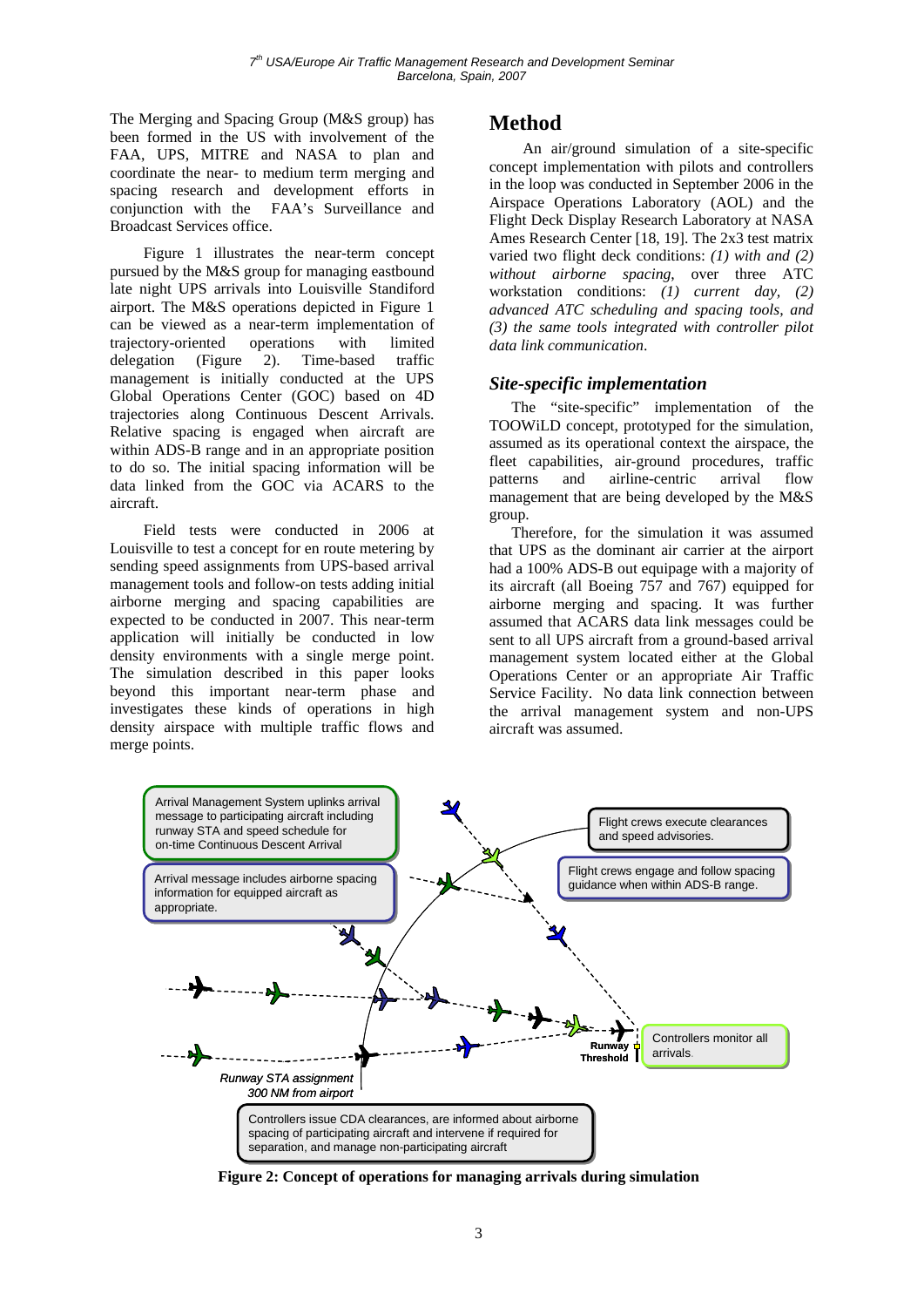The Merging and Spacing Group (M&S group) has been formed in the US with involvement of the FAA, UPS, MITRE and NASA to plan and coordinate the near- to medium term merging and spacing research and development efforts in conjunction with the FAA's Surveillance and Broadcast Services office.

Figure 1 illustrates the near-term concept pursued by the M&S group for managing eastbound late night UPS arrivals into Louisville Standiford airport. The M&S operations depicted in Figure 1 can be viewed as a near-term implementation of trajectory-oriented operations with limited delegation (Figure 2). Time-based traffic management is initially conducted at the UPS Global Operations Center (GOC) based on 4D trajectories along Continuous Descent Arrivals. Relative spacing is engaged when aircraft are within ADS-B range and in an appropriate position to do so. The initial spacing information will be data linked from the GOC via ACARS to the aircraft.

Field tests were conducted in 2006 at Louisville to test a concept for en route metering by sending speed assignments from UPS-based arrival management tools and follow-on tests adding initial airborne merging and spacing capabilities are expected to be conducted in 2007. This near-term application will initially be conducted in low density environments with a single merge point. The simulation described in this paper looks beyond this important near-term phase and investigates these kinds of operations in high density airspace with multiple traffic flows and merge points.

# **Method**

An air/ground simulation of a site-specific concept implementation with pilots and controllers in the loop was conducted in September 2006 in the Airspace Operations Laboratory (AOL) and the Flight Deck Display Research Laboratory at NASA Ames Research Center [18, 19]. The 2x3 test matrix varied two flight deck conditions: *(1) with and (2) without airborne spacing*, over three ATC workstation conditions: *(1) current day, (2) advanced ATC scheduling and spacing tools, and (3) the same tools integrated with controller pilot data link communication*.

#### *Site-specific implementation*

The "site-specific" implementation of the TOOWiLD concept, prototyped for the simulation, assumed as its operational context the airspace, the fleet capabilities, air-ground procedures, traffic patterns and airline-centric arrival flow management that are being developed by the M&S group.

Therefore, for the simulation it was assumed that UPS as the dominant air carrier at the airport had a 100% ADS-B out equipage with a majority of its aircraft (all Boeing 757 and 767) equipped for airborne merging and spacing. It was further assumed that ACARS data link messages could be sent to all UPS aircraft from a ground-based arrival management system located either at the Global Operations Center or an appropriate Air Traffic Service Facility. No data link connection between the arrival management system and non-UPS aircraft was assumed.



**Figure 2: Concept of operations for managing arrivals during simulation**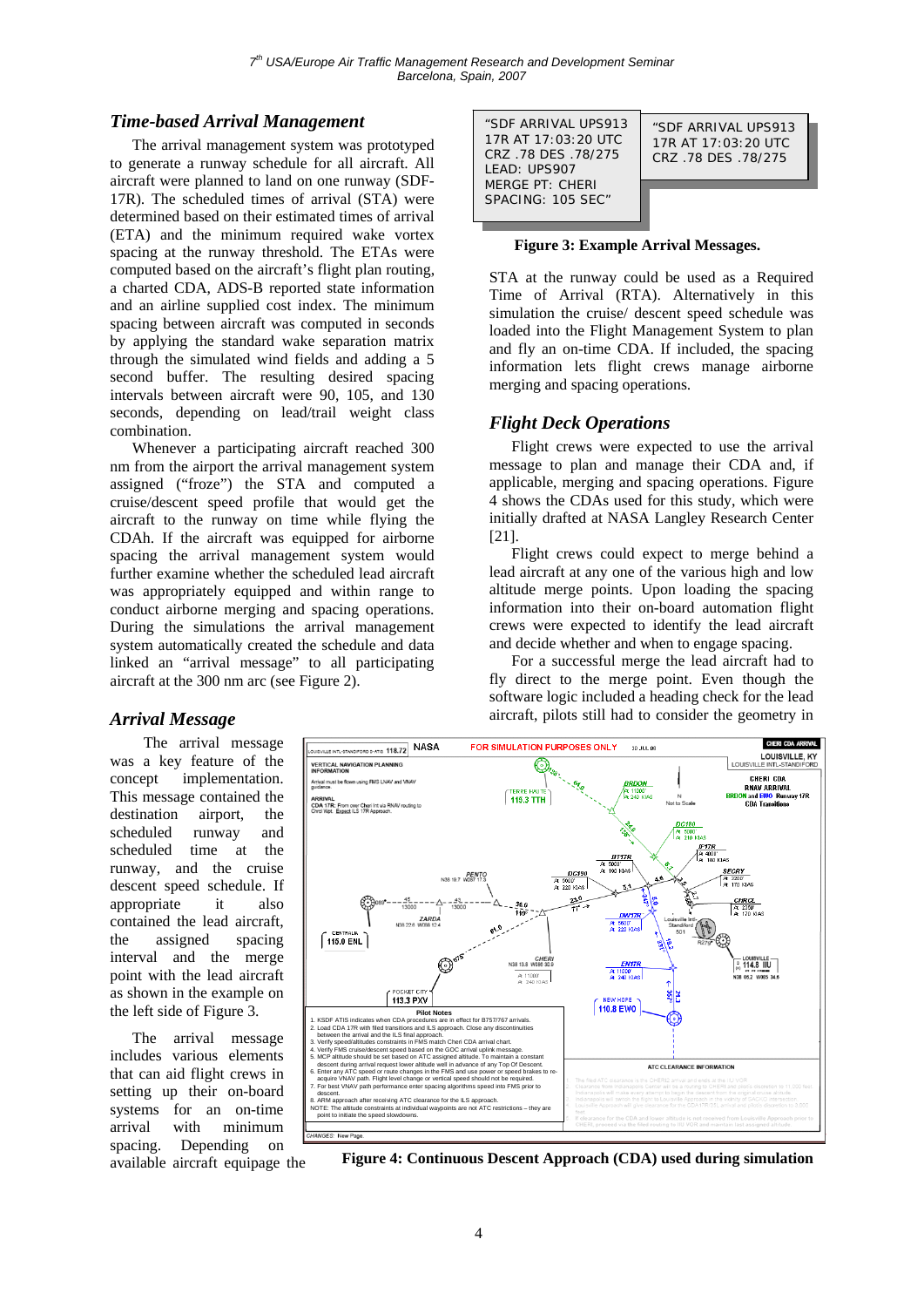#### *Time-based Arrival Management* "SDF ARRIVAL UPS913

The arrival management system was prototyped to generate a runway schedule for all aircraft. All aircraft were planned to land on one runway (SDF-17R). The scheduled times of arrival (STA) were determined based on their estimated times of arrival (ETA) and the minimum required wake vortex spacing at the runway threshold. The ETAs were computed based on the aircraft's flight plan routing, a charted CDA, ADS-B reported state information and an airline supplied cost index. The minimum spacing between aircraft was computed in seconds by applying the standard wake separation matrix through the simulated wind fields and adding a 5 second buffer. The resulting desired spacing intervals between aircraft were 90, 105, and 130 seconds, depending on lead/trail weight class combination.

Whenever a participating aircraft reached 300 nm from the airport the arrival management system assigned ("froze") the STA and computed a cruise/descent speed profile that would get the aircraft to the runway on time while flying the CDAh. If the aircraft was equipped for airborne spacing the arrival management system would further examine whether the scheduled lead aircraft was appropriately equipped and within range to conduct airborne merging and spacing operations. During the simulations the arrival management system automatically created the schedule and data linked an "arrival message" to all participating aircraft at the 300 nm arc (see Figure 2).

17R AT 17:03:20 UTC CRZ .78 DES .78/275 LEAD: UPS907 MERGE PT: CHERI SPACING: 105 SEC" "SDF ARRIVAL UPS913 17R AT 17:03:20 UTC CRZ .78 DES .78/275

**Figure 3: Example Arrival Messages.**

STA at the runway could be used as a Required Time of Arrival (RTA). Alternatively in this simulation the cruise/ descent speed schedule was loaded into the Flight Management System to plan and fly an on-time CDA. If included, the spacing information lets flight crews manage airborne merging and spacing operations.

#### *Flight Deck Operations*

Flight crews were expected to use the arrival message to plan and manage their CDA and, if applicable, merging and spacing operations. Figure 4 shows the CDAs used for this study, which were initially drafted at NASA Langley Research Center [21].

Flight crews could expect to merge behind a lead aircraft at any one of the various high and low altitude merge points. Upon loading the spacing information into their on-board automation flight crews were expected to identify the lead aircraft and decide whether and when to engage spacing.

For a successful merge the lead aircraft had to fly direct to the merge point. Even though the software logic included a heading check for the lead aircraft, pilots still had to consider the geometry in

#### *Arrival Message*

The arrival message was a key feature of the concept implementation. This message contained the destination airport, the scheduled runway and scheduled time at the runway, and the cruise descent speed schedule. If appropriate it also contained the lead aircraft, the assigned spacing interval and the merge point with the lead aircraft as shown in the example on the left side of Figure 3.

The arrival message includes various elements that can aid flight crews in setting up their on-board systems for an on-time arrival with minimum spacing. Depending on available aircraft equipage the



**Figure 4: Continuous Descent Approach (CDA) used during simulation**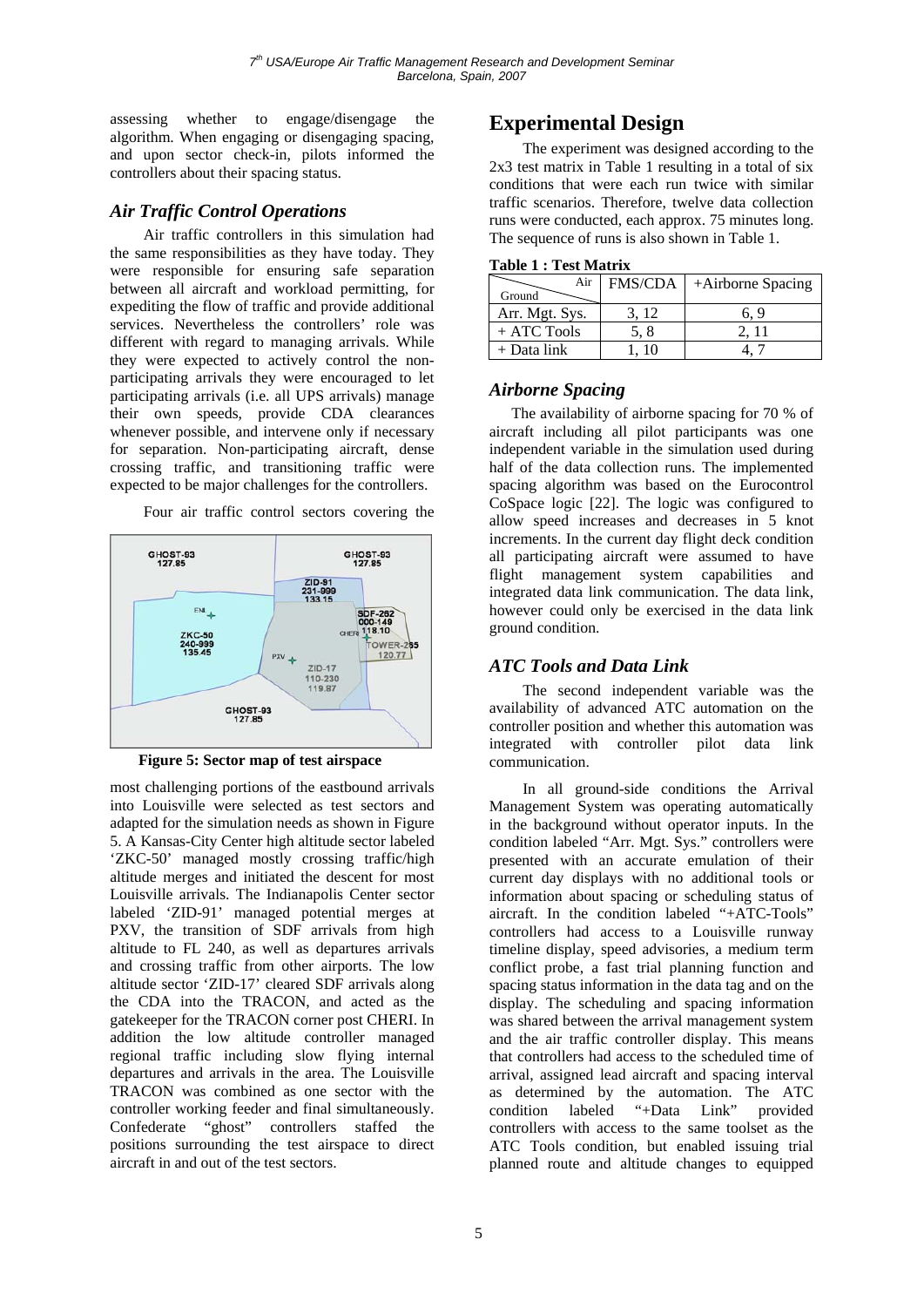assessing whether to engage/disengage the algorithm. When engaging or disengaging spacing, and upon sector check-in, pilots informed the controllers about their spacing status.

### *Air Traffic Control Operations*

Air traffic controllers in this simulation had the same responsibilities as they have today. They were responsible for ensuring safe separation between all aircraft and workload permitting, for expediting the flow of traffic and provide additional services. Nevertheless the controllers' role was different with regard to managing arrivals. While they were expected to actively control the nonparticipating arrivals they were encouraged to let participating arrivals (i.e. all UPS arrivals) manage their own speeds, provide CDA clearances whenever possible, and intervene only if necessary for separation. Non-participating aircraft, dense crossing traffic, and transitioning traffic were expected to be major challenges for the controllers.

Four air traffic control sectors covering the



**Figure 5: Sector map of test airspace** communication.

most challenging portions of the eastbound arrivals into Louisville were selected as test sectors and adapted for the simulation needs as shown in Figure 5. A Kansas-City Center high altitude sector labeled 'ZKC-50' managed mostly crossing traffic/high altitude merges and initiated the descent for most Louisville arrivals. The Indianapolis Center sector labeled 'ZID-91' managed potential merges at PXV, the transition of SDF arrivals from high altitude to FL 240, as well as departures arrivals and crossing traffic from other airports. The low altitude sector 'ZID-17' cleared SDF arrivals along the CDA into the TRACON, and acted as the gatekeeper for the TRACON corner post CHERI. In addition the low altitude controller managed regional traffic including slow flying internal departures and arrivals in the area. The Louisville TRACON was combined as one sector with the controller working feeder and final simultaneously. Confederate "ghost" controllers staffed the positions surrounding the test airspace to direct aircraft in and out of the test sectors.

# **Experimental Design**

The experiment was designed according to the 2x3 test matrix in Table 1 resulting in a total of six conditions that were each run twice with similar traffic scenarios. Therefore, twelve data collection runs were conducted, each approx. 75 minutes long. The sequence of runs is also shown in Table 1.

| <b>Table 1 : Test Matrix</b> |
|------------------------------|
|------------------------------|

| Air            | FMS/CDA | +Airborne Spacing |  |  |
|----------------|---------|-------------------|--|--|
| Ground         |         |                   |  |  |
| Arr. Mgt. Sys. | 3.12    | 6.9               |  |  |
| $+$ ATC Tools  | 5. 8    | 2. 11             |  |  |
| $+$ Data link  | (10)    |                   |  |  |

### *Airborne Spacing*

The availability of airborne spacing for 70 % of aircraft including all pilot participants was one independent variable in the simulation used during half of the data collection runs. The implemented spacing algorithm was based on the Eurocontrol CoSpace logic [22]. The logic was configured to allow speed increases and decreases in 5 knot increments. In the current day flight deck condition all participating aircraft were assumed to have flight management system capabilities and integrated data link communication. The data link, however could only be exercised in the data link ground condition.

#### *ATC Tools and Data Link*

The second independent variable was the availability of advanced ATC automation on the controller position and whether this automation was integrated with controller pilot data link

In all ground-side conditions the Arrival Management System was operating automatically in the background without operator inputs. In the condition labeled "Arr. Mgt. Sys." controllers were presented with an accurate emulation of their current day displays with no additional tools or information about spacing or scheduling status of aircraft. In the condition labeled "+ATC-Tools" controllers had access to a Louisville runway timeline display, speed advisories, a medium term conflict probe, a fast trial planning function and spacing status information in the data tag and on the display. The scheduling and spacing information was shared between the arrival management system and the air traffic controller display. This means that controllers had access to the scheduled time of arrival, assigned lead aircraft and spacing interval as determined by the automation. The ATC condition labeled "+Data Link" provided controllers with access to the same toolset as the ATC Tools condition, but enabled issuing trial planned route and altitude changes to equipped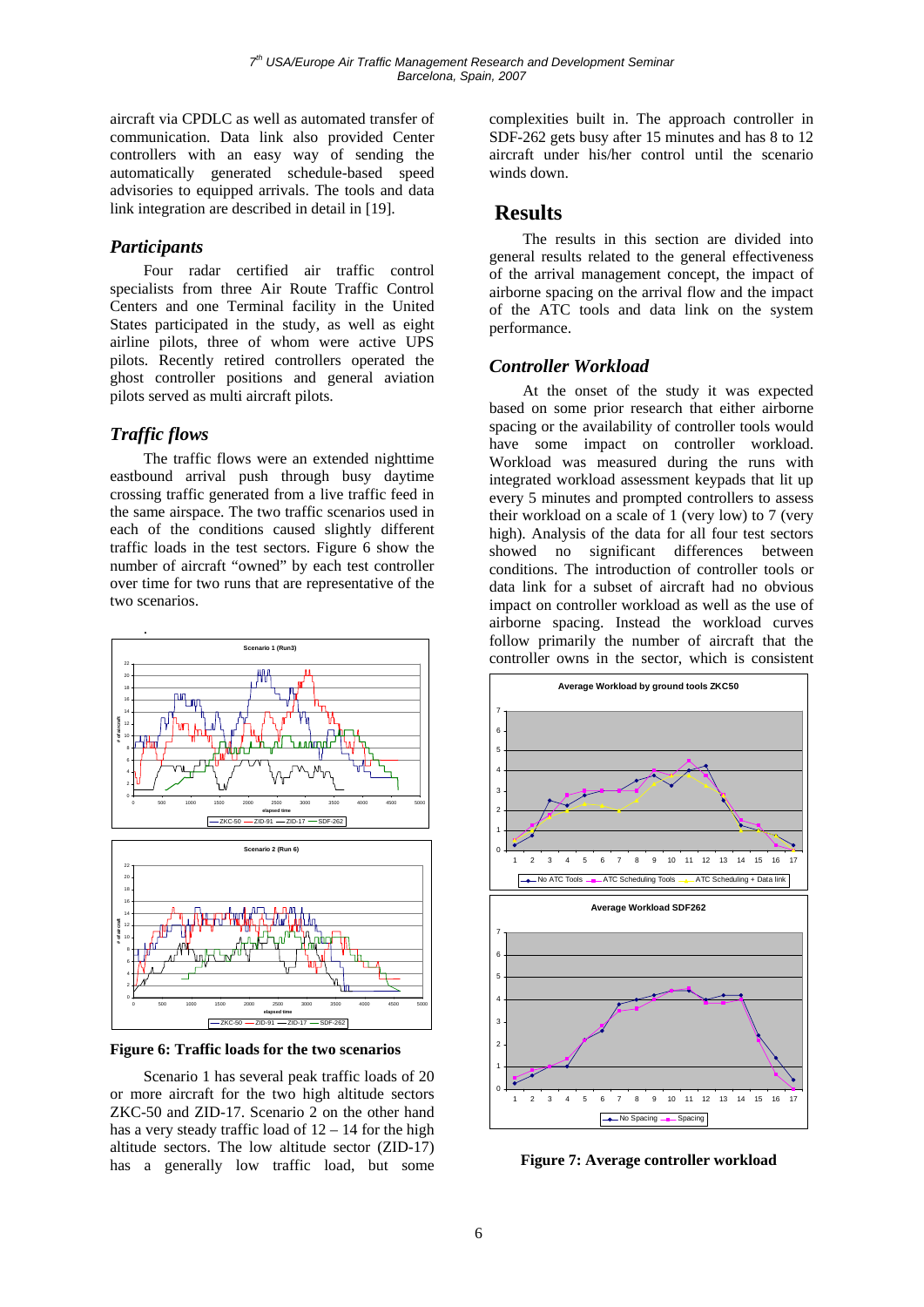aircraft via CPDLC as well as automated transfer of communication. Data link also provided Center controllers with an easy way of sending the automatically generated schedule-based speed advisories to equipped arrivals. The tools and data link integration are described in detail in [19].

#### *Participants*

Four radar certified air traffic control specialists from three Air Route Traffic Control Centers and one Terminal facility in the United States participated in the study, as well as eight airline pilots, three of whom were active UPS pilots. Recently retired controllers operated the ghost controller positions and general aviation pilots served as multi aircraft pilots.

#### *Traffic flows*

The traffic flows were an extended nighttime eastbound arrival push through busy daytime crossing traffic generated from a live traffic feed in the same airspace. The two traffic scenarios used in each of the conditions caused slightly different traffic loads in the test sectors. Figure 6 show the number of aircraft "owned" by each test controller over time for two runs that are representative of the two scenarios.



**Figure 6: Traffic loads for the two scenarios** 

Scenario 1 has several peak traffic loads of 20 or more aircraft for the two high altitude sectors ZKC-50 and ZID-17. Scenario 2 on the other hand has a very steady traffic load of  $12 - 14$  for the high altitude sectors. The low altitude sector (ZID-17) has a generally low traffic load, but some complexities built in. The approach controller in SDF-262 gets busy after 15 minutes and has 8 to 12 aircraft under his/her control until the scenario winds down.

## **Results**

The results in this section are divided into general results related to the general effectiveness of the arrival management concept, the impact of airborne spacing on the arrival flow and the impact of the ATC tools and data link on the system performance.

### *Controller Workload*

At the onset of the study it was expected based on some prior research that either airborne spacing or the availability of controller tools would have some impact on controller workload. Workload was measured during the runs with integrated workload assessment keypads that lit up every 5 minutes and prompted controllers to assess their workload on a scale of 1 (very low) to 7 (very high). Analysis of the data for all four test sectors showed no significant differences between conditions. The introduction of controller tools or data link for a subset of aircraft had no obvious impact on controller workload as well as the use of airborne spacing. Instead the workload curves follow primarily the number of aircraft that the controller owns in the sector, which is consistent



**Figure 7: Average controller workload**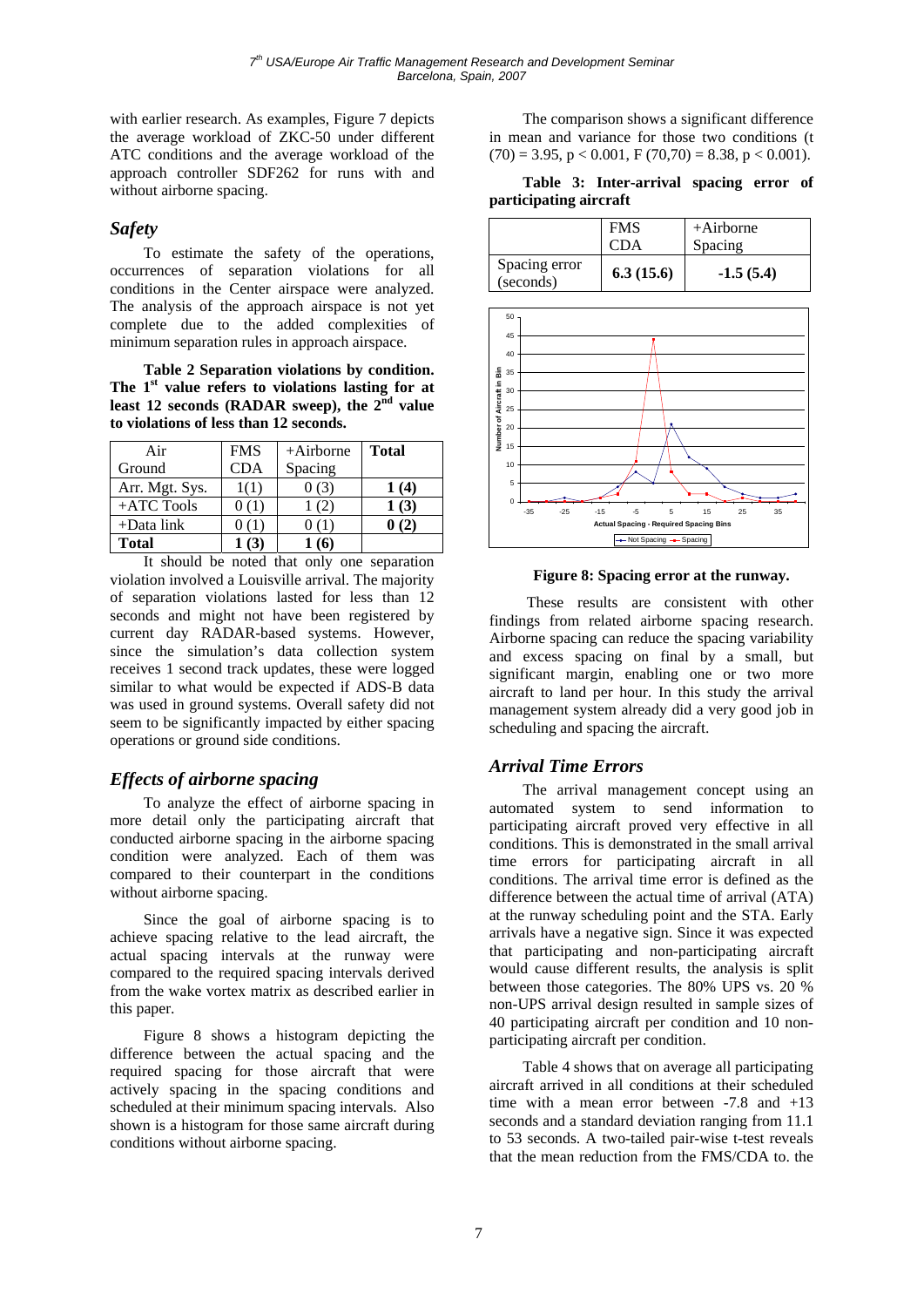with earlier research. As examples, Figure 7 depicts the average workload of ZKC-50 under different ATC conditions and the average workload of the approach controller SDF262 for runs with and without airborne spacing.

### *Safety*

To estimate the safety of the operations, occurrences of separation violations for all conditions in the Center airspace were analyzed. The analysis of the approach airspace is not yet complete due to the added complexities of minimum separation rules in approach airspace.

**Table 2 Separation violations by condition. The 1st value refers to violations lasting for at**  least 12 seconds (RADAR sweep), the 2<sup>nd</sup> value **to violations of less than 12 seconds.** 

| Air            | <b>FMS</b> | $+Airborne$ | Total |
|----------------|------------|-------------|-------|
| Ground         | CDA        | Spacing     |       |
| Arr. Mgt. Sys. |            |             | 1 (4) |
| $+ATC$ Tools   |            |             | 1(3)  |
| $+$ Data link  |            |             |       |
| <b>Total</b>   |            |             |       |

It should be noted that only one separation violation involved a Louisville arrival. The majority of separation violations lasted for less than 12 seconds and might not have been registered by current day RADAR-based systems. However, since the simulation's data collection system receives 1 second track updates, these were logged similar to what would be expected if ADS-B data was used in ground systems. Overall safety did not seem to be significantly impacted by either spacing operations or ground side conditions.

## *Effects of airborne spacing*

To analyze the effect of airborne spacing in more detail only the participating aircraft that conducted airborne spacing in the airborne spacing condition were analyzed. Each of them was compared to their counterpart in the conditions without airborne spacing.

Since the goal of airborne spacing is to achieve spacing relative to the lead aircraft, the actual spacing intervals at the runway were compared to the required spacing intervals derived from the wake vortex matrix as described earlier in this paper.

Figure 8 shows a histogram depicting the difference between the actual spacing and the required spacing for those aircraft that were actively spacing in the spacing conditions and scheduled at their minimum spacing intervals. Also shown is a histogram for those same aircraft during conditions without airborne spacing.

The comparison shows a significant difference in mean and variance for those two conditions (t  $(70) = 3.95$ ,  $p < 0.001$ ,  $F(70,70) = 8.38$ ,  $p < 0.001$ ).

**Table 3: Inter-arrival spacing error of participating aircraft** 

|                            | <b>FMS</b> | $+A$ irborne |
|----------------------------|------------|--------------|
|                            | <b>CDA</b> | Spacing      |
| Spacing error<br>(seconds) | 6.3(15.6)  | $-1.5(5.4)$  |



**Figure 8: Spacing error at the runway.** 

 These results are consistent with other findings from related airborne spacing research. Airborne spacing can reduce the spacing variability and excess spacing on final by a small, but significant margin, enabling one or two more aircraft to land per hour. In this study the arrival management system already did a very good job in scheduling and spacing the aircraft.

## *Arrival Time Errors*

The arrival management concept using an automated system to send information to participating aircraft proved very effective in all conditions. This is demonstrated in the small arrival time errors for participating aircraft in all conditions. The arrival time error is defined as the difference between the actual time of arrival (ATA) at the runway scheduling point and the STA. Early arrivals have a negative sign. Since it was expected that participating and non-participating aircraft would cause different results, the analysis is split between those categories. The 80% UPS vs. 20 % non-UPS arrival design resulted in sample sizes of 40 participating aircraft per condition and 10 nonparticipating aircraft per condition.

Table 4 shows that on average all participating aircraft arrived in all conditions at their scheduled time with a mean error between -7.8 and +13 seconds and a standard deviation ranging from 11.1 to 53 seconds. A two-tailed pair-wise t-test reveals that the mean reduction from the FMS/CDA to. the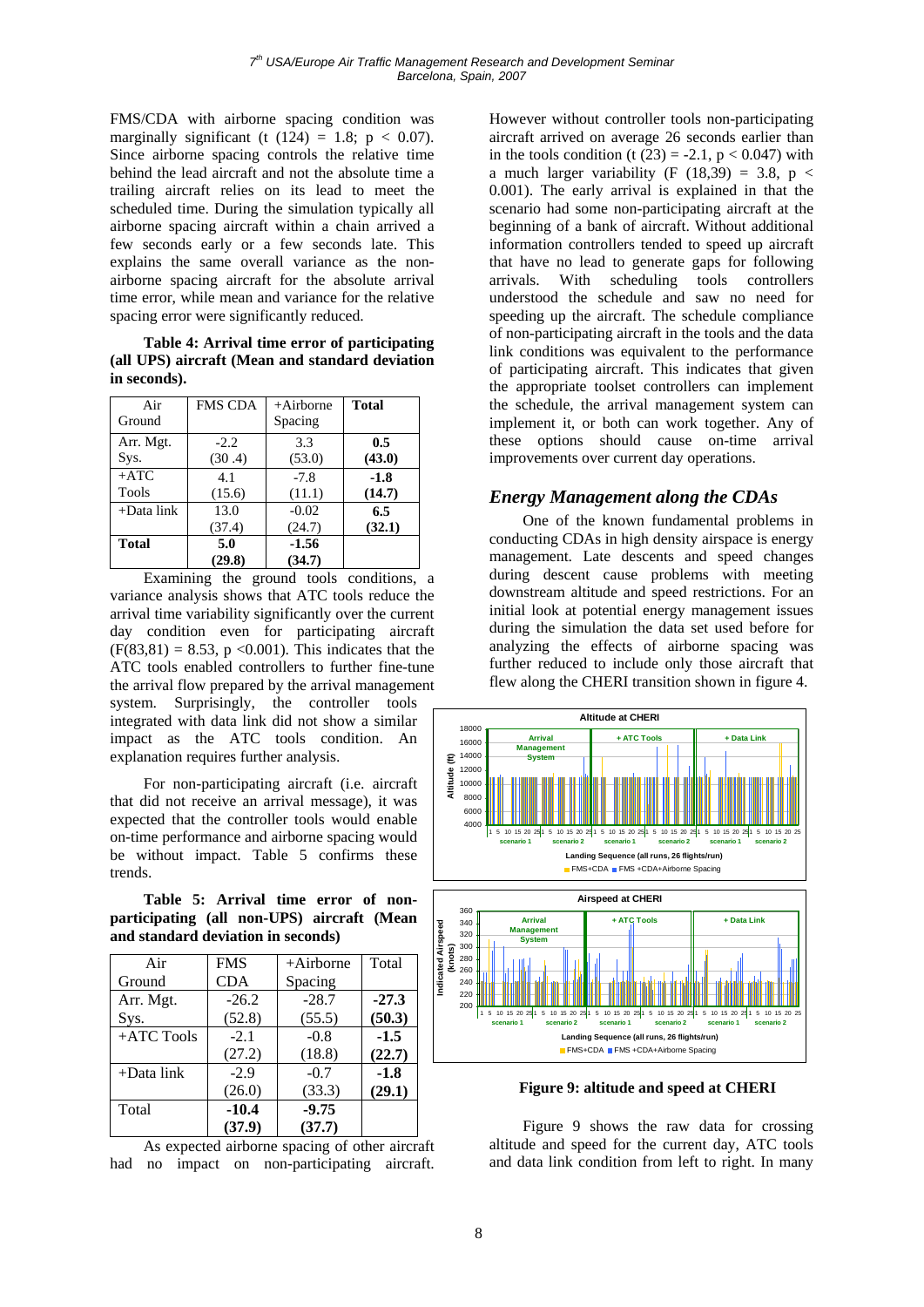FMS/CDA with airborne spacing condition was marginally significant (t  $(124) = 1.8$ ; p < 0.07). Since airborne spacing controls the relative time behind the lead aircraft and not the absolute time a trailing aircraft relies on its lead to meet the scheduled time. During the simulation typically all airborne spacing aircraft within a chain arrived a few seconds early or a few seconds late. This explains the same overall variance as the nonairborne spacing aircraft for the absolute arrival time error, while mean and variance for the relative spacing error were significantly reduced.

**Table 4: Arrival time error of participating (all UPS) aircraft (Mean and standard deviation in seconds).** 

| Air           | <b>FMS CDA</b> | $+A$ irborne | <b>Total</b> |
|---------------|----------------|--------------|--------------|
| Ground        |                | Spacing      |              |
| Arr. Mgt.     | $-2.2$         | 3.3          | 0.5          |
| Sys.          | (30.4)         | (53.0)       | (43.0)       |
| $+ATC$        | 4.1            | $-7.8$       | $-1.8$       |
| Tools         | (15.6)         | (11.1)       | (14.7)       |
| $+$ Data link | 13.0           | $-0.02$      | 6.5          |
|               | (37.4)         | (24.7)       | (32.1)       |
| <b>Total</b>  | 5.0            | $-1.56$      |              |
|               | (29.8)         | (34.7)       |              |

Examining the ground tools conditions, a variance analysis shows that ATC tools reduce the arrival time variability significantly over the current day condition even for participating aircraft  $(F(83.81) = 8.53, p \le 0.001)$ . This indicates that the ATC tools enabled controllers to further fine-tune the arrival flow prepared by the arrival management system. Surprisingly, the controller tools integrated with data link did not show a similar impact as the ATC tools condition. An explanation requires further analysis.

For non-participating aircraft (i.e. aircraft that did not receive an arrival message), it was expected that the controller tools would enable on-time performance and airborne spacing would be without impact. Table 5 confirms these trends.

**Table 5: Arrival time error of nonparticipating (all non-UPS) aircraft (Mean and standard deviation in seconds)** 

| Air           | <b>FMS</b> | $+Airborne$ | Total   |
|---------------|------------|-------------|---------|
| Ground        | <b>CDA</b> | Spacing     |         |
| Arr. Mgt.     | $-26.2$    | $-28.7$     | $-27.3$ |
| Sys.          | (52.8)     | (55.5)      | (50.3)  |
| +ATC Tools    | $-2.1$     | $-0.8$      | $-1.5$  |
|               | (27.2)     | (18.8)      | (22.7)  |
| $+$ Data link | $-2.9$     | $-0.7$      | $-1.8$  |
|               | (26.0)     | (33.3)      | (29.1)  |
| Total         | $-10.4$    | $-9.75$     |         |
|               | (37.9)     | (37.7)      |         |

As expected airborne spacing of other aircraft had no impact on non-participating aircraft.

However without controller tools non-participating aircraft arrived on average 26 seconds earlier than in the tools condition (t  $(23) = -2.1$ , p < 0.047) with a much larger variability (F  $(18,39) = 3.8$ , p < 0.001). The early arrival is explained in that the scenario had some non-participating aircraft at the beginning of a bank of aircraft. Without additional information controllers tended to speed up aircraft that have no lead to generate gaps for following arrivals. With scheduling tools controllers understood the schedule and saw no need for speeding up the aircraft. The schedule compliance of non-participating aircraft in the tools and the data link conditions was equivalent to the performance of participating aircraft. This indicates that given the appropriate toolset controllers can implement the schedule, the arrival management system can implement it, or both can work together. Any of these options should cause on-time arrival improvements over current day operations.

#### *Energy Management along the CDAs*

One of the known fundamental problems in conducting CDAs in high density airspace is energy management. Late descents and speed changes during descent cause problems with meeting downstream altitude and speed restrictions. For an initial look at potential energy management issues during the simulation the data set used before for analyzing the effects of airborne spacing was further reduced to include only those aircraft that flew along the CHERI transition shown in figure 4.



**Figure 9: altitude and speed at CHERI** 

Figure 9 shows the raw data for crossing altitude and speed for the current day, ATC tools and data link condition from left to right. In many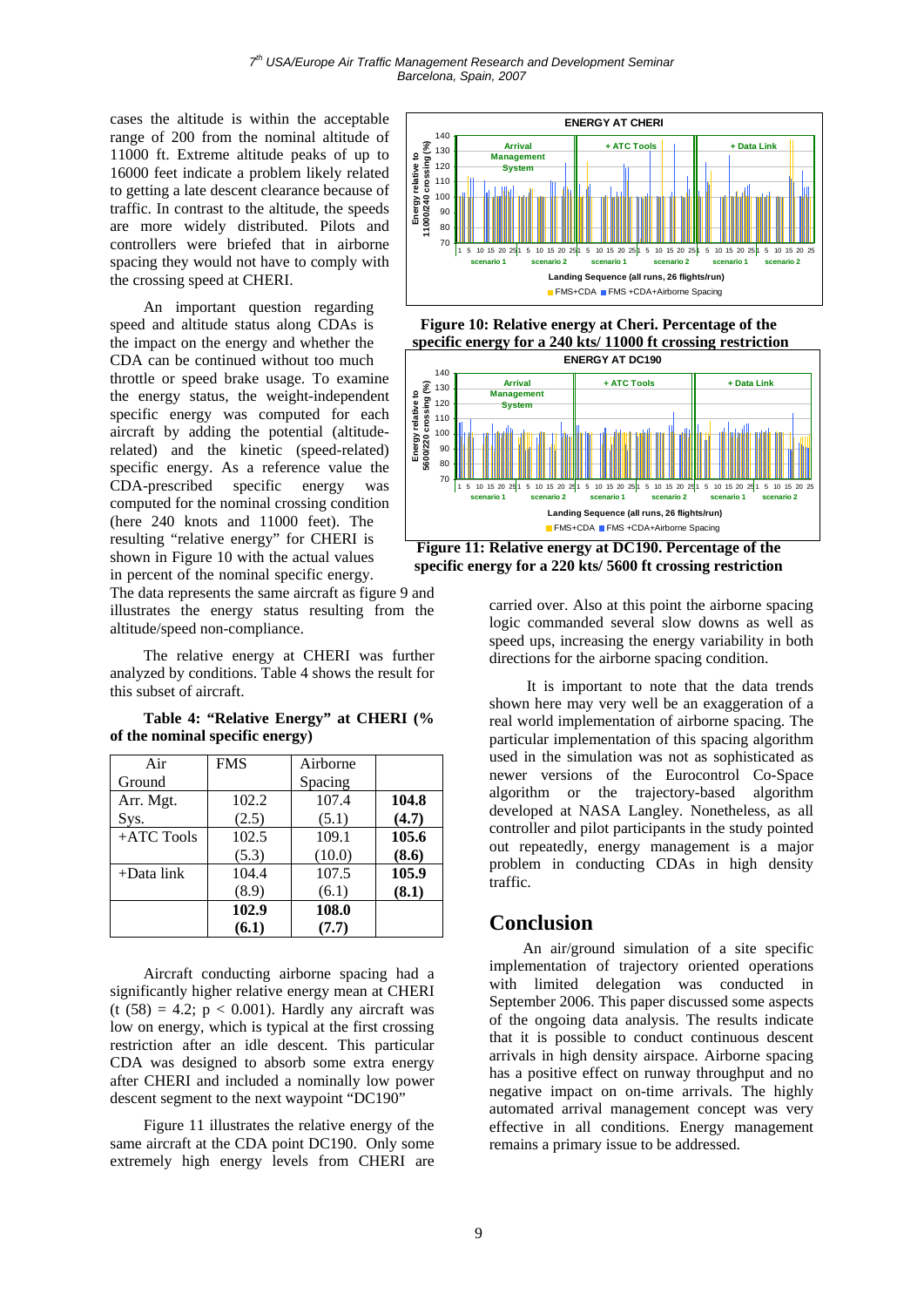cases the altitude is within the acceptable range of 200 from the nominal altitude of 11000 ft. Extreme altitude peaks of up to 16000 feet indicate a problem likely related to getting a late descent clearance because of traffic. In contrast to the altitude, the speeds are more widely distributed. Pilots and controllers were briefed that in airborne spacing they would not have to comply with the crossing speed at CHERI.

An important question regarding speed and altitude status along CDAs is the impact on the energy and whether the CDA can be continued without too much throttle or speed brake usage. To examine the energy status, the weight-independent specific energy was computed for each aircraft by adding the potential (altituderelated) and the kinetic (speed-related) specific energy. As a reference value the CDA-prescribed specific energy was computed for the nominal crossing condition (here 240 knots and 11000 feet). The resulting "relative energy" for CHERI is shown in Figure 10 with the actual values in percent of the nominal specific energy.

The data represents the same aircraft as figure 9 and illustrates the energy status resulting from the altitude/speed non-compliance.

The relative energy at CHERI was further analyzed by conditions. Table 4 shows the result for this subset of aircraft.

**Table 4: "Relative Energy" at CHERI (% of the nominal specific energy)** 

| Air           | <b>FMS</b> | Airborne |       |
|---------------|------------|----------|-------|
| Ground        |            | Spacing  |       |
| Arr. Mgt.     | 102.2      | 107.4    | 104.8 |
| Sys.          | (2.5)      | (5.1)    | (4.7) |
| +ATC Tools    | 102.5      | 109.1    | 105.6 |
|               | (5.3)      | (10.0)   | (8.6) |
| $+$ Data link | 104.4      | 107.5    | 105.9 |
|               | (8.9)      | (6.1)    | (8.1) |
|               | 102.9      | 108.0    |       |
|               | (6.1)      | (7.7)    |       |

Aircraft conducting airborne spacing had a significantly higher relative energy mean at CHERI (t  $(58) = 4.2$ ;  $p < 0.001$ ). Hardly any aircraft was low on energy, which is typical at the first crossing restriction after an idle descent. This particular CDA was designed to absorb some extra energy after CHERI and included a nominally low power descent segment to the next waypoint "DC190"

Figure 11 illustrates the relative energy of the same aircraft at the CDA point DC190. Only some extremely high energy levels from CHERI are







**Figure 11: Relative energy at DC190. Percentage of the specific energy for a 220 kts/ 5600 ft crossing restriction** 

carried over. Also at this point the airborne spacing logic commanded several slow downs as well as speed ups, increasing the energy variability in both directions for the airborne spacing condition.

 It is important to note that the data trends shown here may very well be an exaggeration of a real world implementation of airborne spacing. The particular implementation of this spacing algorithm used in the simulation was not as sophisticated as newer versions of the Eurocontrol Co-Space algorithm or the trajectory-based algorithm developed at NASA Langley. Nonetheless, as all controller and pilot participants in the study pointed out repeatedly, energy management is a major problem in conducting CDAs in high density traffic.

## **Conclusion**

An air/ground simulation of a site specific implementation of trajectory oriented operations with limited delegation was conducted in September 2006. This paper discussed some aspects of the ongoing data analysis. The results indicate that it is possible to conduct continuous descent arrivals in high density airspace. Airborne spacing has a positive effect on runway throughput and no negative impact on on-time arrivals. The highly automated arrival management concept was very effective in all conditions. Energy management remains a primary issue to be addressed.